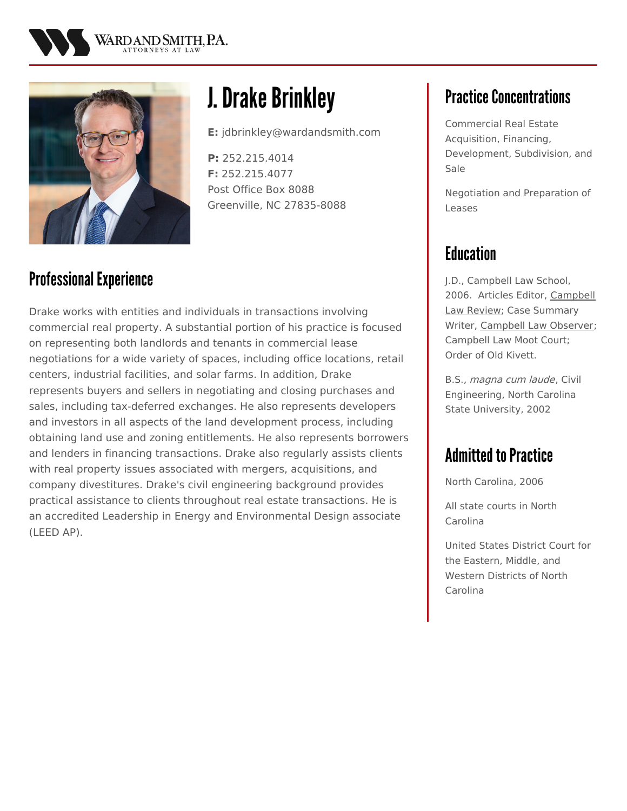



# **J. Drake Brinkley**

**E:** jdbrinkley@wardandsmith.com

**P:** 252.215.4014 **F:** 252.215.4077 Post Office Box 8088 Greenville, NC 27835-8088

## Professional Experience

Drake works with entities and individuals in transactions involving commercial real property. A substantial portion of his practice is focused on representing both landlords and tenants in commercial lease negotiations for a wide variety of spaces, including office locations, retail centers, industrial facilities, and solar farms. In addition, Drake represents buyers and sellers in negotiating and closing purchases and sales, including tax-deferred exchanges. He also represents developers and investors in all aspects of the land development process, including obtaining land use and zoning entitlements. He also represents borrowers and lenders in financing transactions. Drake also regularly assists clients with real property issues associated with mergers, acquisitions, and company divestitures. Drake's civil engineering background provides practical assistance to clients throughout real estate transactions. He is an accredited Leadership in Energy and Environmental Design associate (LEED AP).

# **Practice Concentrations**

Commercial Real Estate Acquisition, Financing, Development, Subdivision, and Sale

Negotiation and Preparation of Leases

# **Education**

J.D., Campbell Law School, 2006. Articles Editor, Campbell Law Review; Case Summary Writer, Campbell Law Observer; Campbell Law Moot Court; Order of Old Kivett.

B.S., magna cum laude, Civil Engineering, North Carolina State University, 2002

## **Admitted to Practice**

North Carolina, 2006

All state courts in North Carolina

United States District Court for the Eastern, Middle, and Western Districts of North Carolina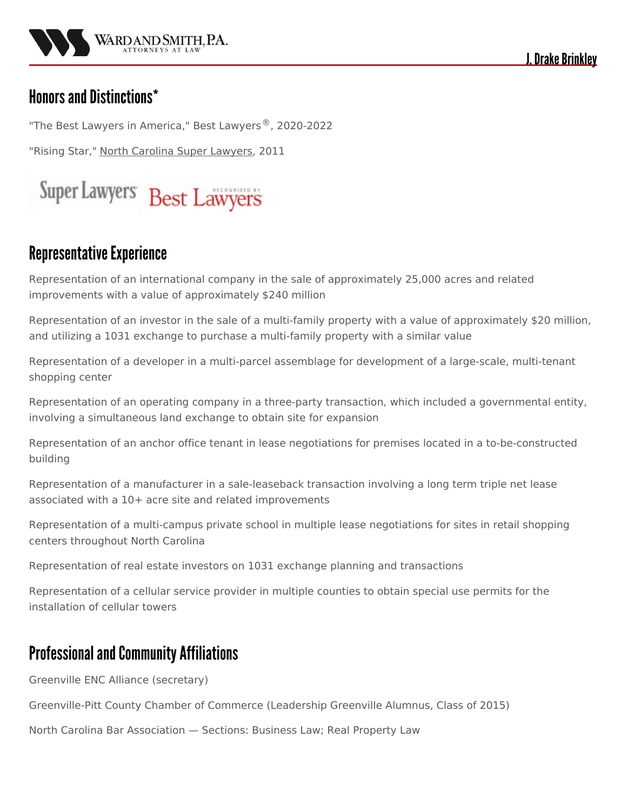

J. Drake Brinklev

#### Honors and Distinctions\*

"The Best Lawyers in America," Best Lawyers<sup>®</sup>, 2020-2022

"Rising Star," North Carolina Super Lawyers, 2011



#### **Representative Experience**

Representation of an international company in the sale of approximately 25,000 acres and related improvements with a value of approximately \$240 million

Representation of an investor in the sale of a multi-family property with a value of approximately \$20 million, and utilizing a 1031 exchange to purchase a multi-family property with a similar value

Representation of a developer in a multi-parcel assemblage for development of a large-scale, multi-tenant shopping center

Representation of an operating company in a three-party transaction, which included a governmental entity, involving a simultaneous land exchange to obtain site for expansion

Representation of an anchor office tenant in lease negotiations for premises located in a to-be-constructed building

Representation of a manufacturer in a sale-leaseback transaction involving a long term triple net lease associated with a 10+ acre site and related improvements

Representation of a multi-campus private school in multiple lease negotiations for sites in retail shopping centers throughout North Carolina

Representation of real estate investors on 1031 exchange planning and transactions

Representation of a cellular service provider in multiple counties to obtain special use permits for the installation of cellular towers

#### Professional and Community Affiliations

Greenville ENC Alliance (secretary)

Greenville-Pitt County Chamber of Commerce (Leadership Greenville Alumnus, Class of 2015)

North Carolina Bar Association — Sections: Business Law; Real Property Law